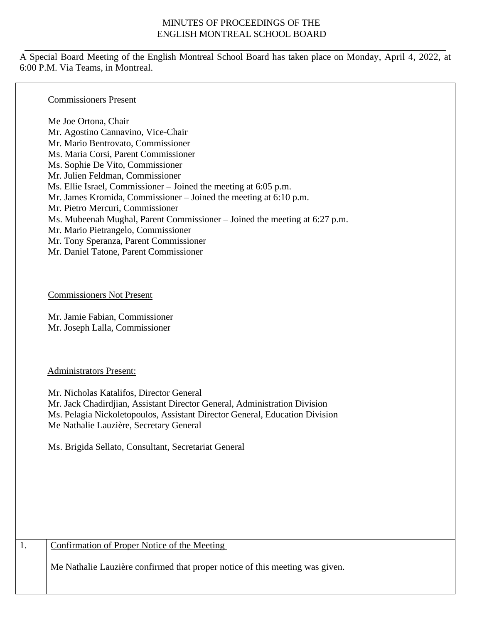## MINUTES OF PROCEEDINGS OF THE ENGLISH MONTREAL SCHOOL BOARD

A Special Board Meeting of the English Montreal School Board has taken place on Monday, April 4, 2022, at 6:00 P.M. Via Teams, in Montreal.

### Commissioners Present

Me Joe Ortona, Chair Mr. Agostino Cannavino, Vice-Chair Mr. Mario Bentrovato, Commissioner Ms. Maria Corsi, Parent Commissioner Ms. Sophie De Vito, Commissioner Mr. Julien Feldman, Commissioner Ms. Ellie Israel, Commissioner – Joined the meeting at 6:05 p.m. Mr. James Kromida, Commissioner – Joined the meeting at 6:10 p.m. Mr. Pietro Mercuri, Commissioner Ms. Mubeenah Mughal, Parent Commissioner – Joined the meeting at 6:27 p.m. Mr. Mario Pietrangelo, Commissioner Mr. Tony Speranza, Parent Commissioner Mr. Daniel Tatone, Parent Commissioner

### Commissioners Not Present

Mr. Jamie Fabian, Commissioner Mr. Joseph Lalla, Commissioner

### Administrators Present:

Mr. Nicholas Katalifos, Director General Mr. Jack Chadirdjian, Assistant Director General, Administration Division Ms. Pelagia Nickoletopoulos, Assistant Director General, Education Division Me Nathalie Lauzière, Secretary General

Ms. Brigida Sellato, Consultant, Secretariat General

## 1. Confirmation of Proper Notice of the Meeting

Me Nathalie Lauzière confirmed that proper notice of this meeting was given.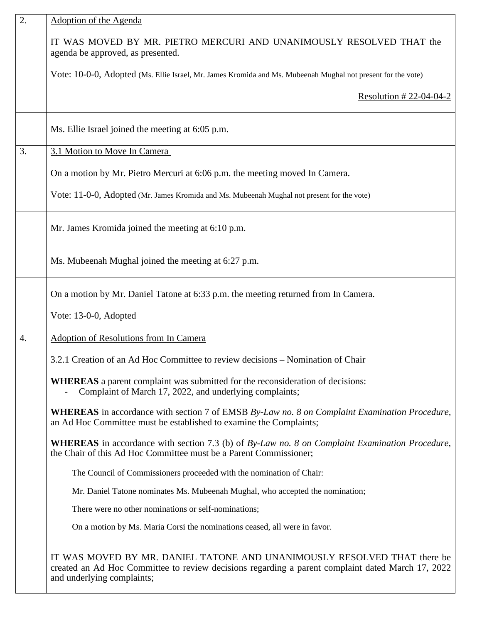| $\overline{2}$ . | <b>Adoption of the Agenda</b>                                                                                                                                                                               |
|------------------|-------------------------------------------------------------------------------------------------------------------------------------------------------------------------------------------------------------|
|                  | IT WAS MOVED BY MR. PIETRO MERCURI AND UNANIMOUSLY RESOLVED THAT the<br>agenda be approved, as presented.                                                                                                   |
|                  | Vote: 10-0-0, Adopted (Ms. Ellie Israel, Mr. James Kromida and Ms. Mubeenah Mughal not present for the vote)                                                                                                |
|                  | Resolution #22-04-04-2                                                                                                                                                                                      |
|                  | Ms. Ellie Israel joined the meeting at 6:05 p.m.                                                                                                                                                            |
| 3.               | 3.1 Motion to Move In Camera                                                                                                                                                                                |
|                  | On a motion by Mr. Pietro Mercuri at 6:06 p.m. the meeting moved In Camera.                                                                                                                                 |
|                  | Vote: 11-0-0, Adopted (Mr. James Kromida and Ms. Mubeenah Mughal not present for the vote)                                                                                                                  |
|                  | Mr. James Kromida joined the meeting at 6:10 p.m.                                                                                                                                                           |
|                  | Ms. Mubeenah Mughal joined the meeting at 6:27 p.m.                                                                                                                                                         |
|                  | On a motion by Mr. Daniel Tatone at 6:33 p.m. the meeting returned from In Camera.                                                                                                                          |
|                  | Vote: 13-0-0, Adopted                                                                                                                                                                                       |
| 4.               | <b>Adoption of Resolutions from In Camera</b>                                                                                                                                                               |
|                  | 3.2.1 Creation of an Ad Hoc Committee to review decisions – Nomination of Chair                                                                                                                             |
|                  | <b>WHEREAS</b> a parent complaint was submitted for the reconsideration of decisions:<br>Complaint of March 17, 2022, and underlying complaints;                                                            |
|                  | <b>WHEREAS</b> in accordance with section 7 of EMSB By-Law no. 8 on Complaint Examination Procedure,<br>an Ad Hoc Committee must be established to examine the Complaints;                                  |
|                  | <b>WHEREAS</b> in accordance with section 7.3 (b) of By-Law no. 8 on Complaint Examination Procedure,<br>the Chair of this Ad Hoc Committee must be a Parent Commissioner;                                  |
|                  | The Council of Commissioners proceeded with the nomination of Chair:                                                                                                                                        |
|                  | Mr. Daniel Tatone nominates Ms. Mubeenah Mughal, who accepted the nomination;                                                                                                                               |
|                  | There were no other nominations or self-nominations;                                                                                                                                                        |
|                  | On a motion by Ms. Maria Corsi the nominations ceased, all were in favor.                                                                                                                                   |
|                  | IT WAS MOVED BY MR. DANIEL TATONE AND UNANIMOUSLY RESOLVED THAT there be<br>created an Ad Hoc Committee to review decisions regarding a parent complaint dated March 17, 2022<br>and underlying complaints; |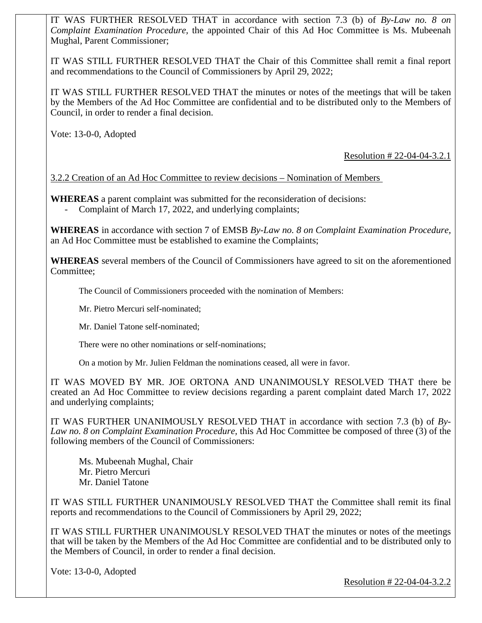IT WAS FURTHER RESOLVED THAT in accordance with section 7.3 (b) of *By-Law no. 8 on Complaint Examination Procedure,* the appointed Chair of this Ad Hoc Committee is Ms. Mubeenah Mughal, Parent Commissioner;

IT WAS STILL FURTHER RESOLVED THAT the Chair of this Committee shall remit a final report and recommendations to the Council of Commissioners by April 29, 2022;

IT WAS STILL FURTHER RESOLVED THAT the minutes or notes of the meetings that will be taken by the Members of the Ad Hoc Committee are confidential and to be distributed only to the Members of Council, in order to render a final decision.

Vote: 13-0-0, Adopted

Resolution # 22-04-04-3.2.1

3.2.2 Creation of an Ad Hoc Committee to review decisions – Nomination of Members

**WHEREAS** a parent complaint was submitted for the reconsideration of decisions:

Complaint of March 17, 2022, and underlying complaints;

**WHEREAS** in accordance with section 7 of EMSB *By-Law no. 8 on Complaint Examination Procedure,*  an Ad Hoc Committee must be established to examine the Complaints;

**WHEREAS** several members of the Council of Commissioners have agreed to sit on the aforementioned Committee;

The Council of Commissioners proceeded with the nomination of Members:

Mr. Pietro Mercuri self-nominated;

Mr. Daniel Tatone self-nominated;

There were no other nominations or self-nominations;

On a motion by Mr. Julien Feldman the nominations ceased, all were in favor.

IT WAS MOVED BY MR. JOE ORTONA AND UNANIMOUSLY RESOLVED THAT there be created an Ad Hoc Committee to review decisions regarding a parent complaint dated March 17, 2022 and underlying complaints;

IT WAS FURTHER UNANIMOUSLY RESOLVED THAT in accordance with section 7.3 (b) of *By-Law no. 8 on Complaint Examination Procedure,* this Ad Hoc Committee be composed of three (3) of the following members of the Council of Commissioners:

Ms. Mubeenah Mughal, Chair Mr. Pietro Mercuri Mr. Daniel Tatone

IT WAS STILL FURTHER UNANIMOUSLY RESOLVED THAT the Committee shall remit its final reports and recommendations to the Council of Commissioners by April 29, 2022;

IT WAS STILL FURTHER UNANIMOUSLY RESOLVED THAT the minutes or notes of the meetings that will be taken by the Members of the Ad Hoc Committee are confidential and to be distributed only to the Members of Council, in order to render a final decision.

Vote: 13-0-0, Adopted

Resolution # 22-04-04-3.2.2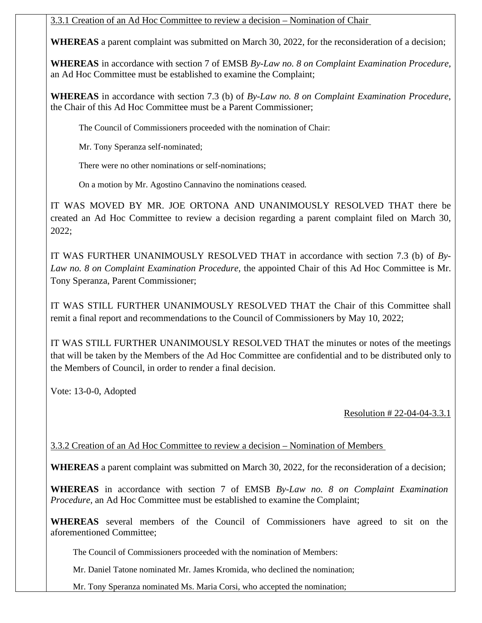# 3.3.1 Creation of an Ad Hoc Committee to review a decision – Nomination of Chair

**WHEREAS** a parent complaint was submitted on March 30, 2022, for the reconsideration of a decision;

**WHEREAS** in accordance with section 7 of EMSB *By-Law no. 8 on Complaint Examination Procedure,*  an Ad Hoc Committee must be established to examine the Complaint;

**WHEREAS** in accordance with section 7.3 (b) of *By-Law no. 8 on Complaint Examination Procedure*, the Chair of this Ad Hoc Committee must be a Parent Commissioner;

The Council of Commissioners proceeded with the nomination of Chair:

Mr. Tony Speranza self-nominated;

There were no other nominations or self-nominations;

On a motion by Mr. Agostino Cannavino the nominations ceased.

IT WAS MOVED BY MR. JOE ORTONA AND UNANIMOUSLY RESOLVED THAT there be created an Ad Hoc Committee to review a decision regarding a parent complaint filed on March 30, 2022;

IT WAS FURTHER UNANIMOUSLY RESOLVED THAT in accordance with section 7.3 (b) of *By-Law no. 8 on Complaint Examination Procedure,* the appointed Chair of this Ad Hoc Committee is Mr. Tony Speranza, Parent Commissioner;

IT WAS STILL FURTHER UNANIMOUSLY RESOLVED THAT the Chair of this Committee shall remit a final report and recommendations to the Council of Commissioners by May 10, 2022;

IT WAS STILL FURTHER UNANIMOUSLY RESOLVED THAT the minutes or notes of the meetings that will be taken by the Members of the Ad Hoc Committee are confidential and to be distributed only to the Members of Council, in order to render a final decision.

Vote: 13-0-0, Adopted

Resolution # 22-04-04-3.3.1

3.3.2 Creation of an Ad Hoc Committee to review a decision – Nomination of Members

**WHEREAS** a parent complaint was submitted on March 30, 2022, for the reconsideration of a decision;

**WHEREAS** in accordance with section 7 of EMSB *By-Law no. 8 on Complaint Examination Procedure,* an Ad Hoc Committee must be established to examine the Complaint;

**WHEREAS** several members of the Council of Commissioners have agreed to sit on the aforementioned Committee;

The Council of Commissioners proceeded with the nomination of Members:

Mr. Daniel Tatone nominated Mr. James Kromida, who declined the nomination;

Mr. Tony Speranza nominated Ms. Maria Corsi, who accepted the nomination;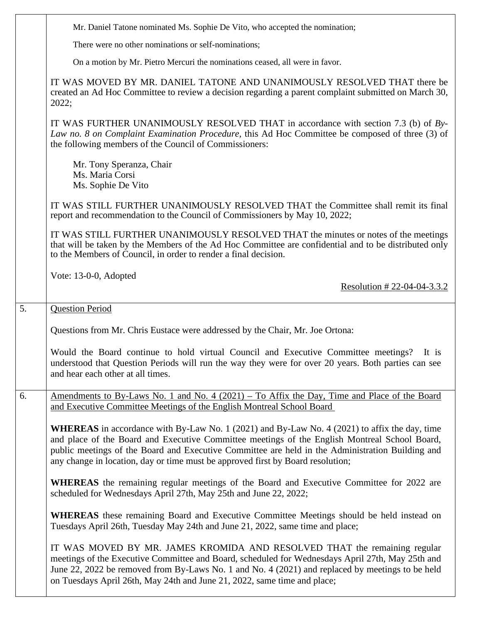| Mr. Daniel Tatone nominated Ms. Sophie De Vito, who accepted the nomination;                                                                                                                                                                                                                                                                                                                 |
|----------------------------------------------------------------------------------------------------------------------------------------------------------------------------------------------------------------------------------------------------------------------------------------------------------------------------------------------------------------------------------------------|
| There were no other nominations or self-nominations;                                                                                                                                                                                                                                                                                                                                         |
| On a motion by Mr. Pietro Mercuri the nominations ceased, all were in favor.                                                                                                                                                                                                                                                                                                                 |
| IT WAS MOVED BY MR. DANIEL TATONE AND UNANIMOUSLY RESOLVED THAT there be<br>created an Ad Hoc Committee to review a decision regarding a parent complaint submitted on March 30,<br>2022;                                                                                                                                                                                                    |
| IT WAS FURTHER UNANIMOUSLY RESOLVED THAT in accordance with section 7.3 (b) of $By-$<br>Law no. 8 on Complaint Examination Procedure, this Ad Hoc Committee be composed of three (3) of<br>the following members of the Council of Commissioners:                                                                                                                                            |
| Mr. Tony Speranza, Chair<br>Ms. Maria Corsi<br>Ms. Sophie De Vito                                                                                                                                                                                                                                                                                                                            |
| IT WAS STILL FURTHER UNANIMOUSLY RESOLVED THAT the Committee shall remit its final<br>report and recommendation to the Council of Commissioners by May 10, 2022;                                                                                                                                                                                                                             |
| IT WAS STILL FURTHER UNANIMOUSLY RESOLVED THAT the minutes or notes of the meetings<br>that will be taken by the Members of the Ad Hoc Committee are confidential and to be distributed only<br>to the Members of Council, in order to render a final decision.                                                                                                                              |
| Vote: 13-0-0, Adopted<br>Resolution #22-04-04-3.3.2                                                                                                                                                                                                                                                                                                                                          |
| <b>Question Period</b>                                                                                                                                                                                                                                                                                                                                                                       |
| Questions from Mr. Chris Eustace were addressed by the Chair, Mr. Joe Ortona:                                                                                                                                                                                                                                                                                                                |
|                                                                                                                                                                                                                                                                                                                                                                                              |
| Would the Board continue to hold virtual Council and Executive Committee meetings? It is<br>understood that Question Periods will run the way they were for over 20 years. Both parties can see<br>and hear each other at all times.                                                                                                                                                         |
| Amendments to By-Laws No. 1 and No. 4 $(2021)$ – To Affix the Day, Time and Place of the Board<br>and Executive Committee Meetings of the English Montreal School Board                                                                                                                                                                                                                      |
| <b>WHEREAS</b> in accordance with By-Law No. 1 (2021) and By-Law No. 4 (2021) to affix the day, time<br>and place of the Board and Executive Committee meetings of the English Montreal School Board,<br>public meetings of the Board and Executive Committee are held in the Administration Building and<br>any change in location, day or time must be approved first by Board resolution; |
| <b>WHEREAS</b> the remaining regular meetings of the Board and Executive Committee for 2022 are<br>scheduled for Wednesdays April 27th, May 25th and June 22, 2022;                                                                                                                                                                                                                          |
| <b>WHEREAS</b> these remaining Board and Executive Committee Meetings should be held instead on<br>Tuesdays April 26th, Tuesday May 24th and June 21, 2022, same time and place;                                                                                                                                                                                                             |
|                                                                                                                                                                                                                                                                                                                                                                                              |